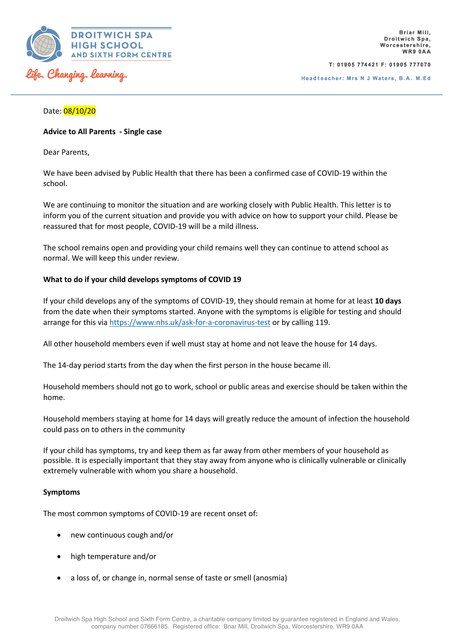

T: 01905 774421 F: 01905 777070

Headteacher: Mrs N J Waters, B.A. M.Ed

# Date: 08/10/20

## **Advice to All Parents - Single case**

Dear Parents,

We have been advised by Public Health that there has been a confirmed case of COVID-19 within the school.

We are continuing to monitor the situation and are working closely with Public Health. This letter is to inform you of the current situation and provide you with advice on how to support your child. Please be reassured that for most people, COVID-19 will be a mild illness.

The school remains open and providing your child remains well they can continue to attend school as normal. We will keep this under review.

# **What to do if your child develops symptoms of COVID 19**

If your child develops any of the symptoms of COVID-19, they should remain at home for at least **10 days** from the date when their symptoms started. Anyone with the symptoms is eligible for testing and should arrange for this via https://www.nhs.uk/ask-for-a-coronavirus-test or by calling 119.

All other household members even if well must stay at home and not leave the house for 14 days.

The 14-day period starts from the day when the first person in the house became ill.

Household members should not go to work, school or public areas and exercise should be taken within the home.

Household members staying at home for 14 days will greatly reduce the amount of infection the household could pass on to others in the community

If your child has symptoms, try and keep them as far away from other members of your household as possible. It is especially important that they stay away from anyone who is clinically vulnerable or clinically extremely vulnerable with whom you share a household.

#### **Symptoms**

The most common symptoms of COVID-19 are recent onset of:

- new continuous cough and/or
- high temperature and/or
- a loss of, or change in, normal sense of taste or smell (anosmia)